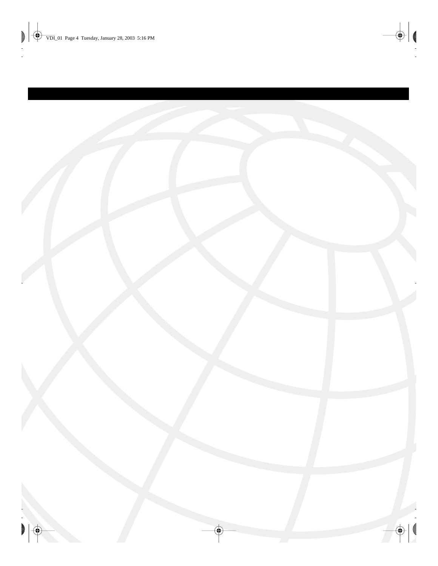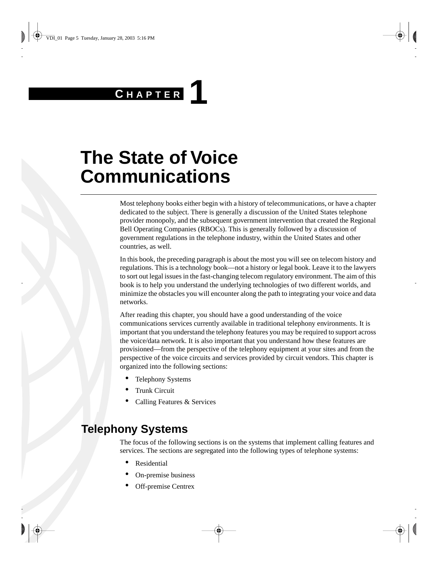# **C H <sup>A</sup> <sup>P</sup> <sup>T</sup> <sup>E</sup> <sup>R</sup> 1**

# **The State of Voice Communications**

Most telephony books either begin with a history of telecommunications, or have a chapter dedicated to the subject. There is generally a discussion of the United States telephone provider monopoly, and the subsequent government intervention that created the Regional Bell Operating Companies (RBOCs). This is generally followed by a discussion of government regulations in the telephone industry, within the United States and other countries, as well.

In this book, the preceding paragraph is about the most you will see on telecom history and regulations. This is a technology book—not a history or legal book. Leave it to the lawyers to sort out legal issues in the fast-changing telecom regulatory environment. The aim of this book is to help you understand the underlying technologies of two different worlds, and minimize the obstacles you will encounter along the path to integrating your voice and data networks.

After reading this chapter, you should have a good understanding of the voice communications services currently available in traditional telephony environments. It is important that you understand the telephony features you may be required to support across the voice/data network. It is also important that you understand how these features are provisioned—from the perspective of the telephony equipment at your sites and from the perspective of the voice circuits and services provided by circuit vendors. This chapter is organized into the following sections:

- Telephony Systems
- Trunk Circuit
- Calling Features & Services

# **Telephony Systems**

The focus of the following sections is on the systems that implement calling features and services. The sections are segregated into the following types of telephone systems:

- **Residential**
- On-premise business
- Off-premise Centrex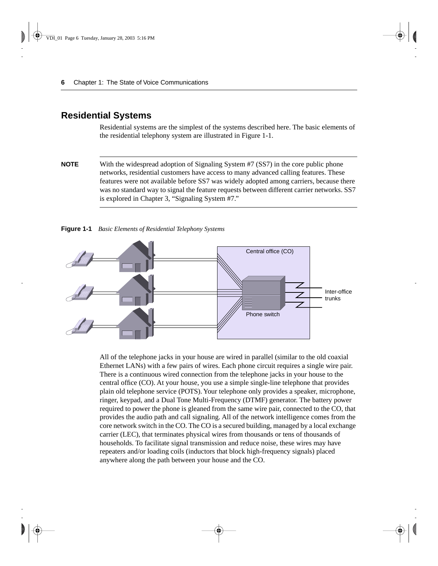## **Residential Systems**

Residential systems are the simplest of the systems described here. The basic elements of the residential telephony system are illustrated in Figure 1-1.

**NOTE** With the widespread adoption of Signaling System #7 (SS7) in the core public phone networks, residential customers have access to many advanced calling features. These features were not available before SS7 was widely adopted among carriers, because there was no standard way to signal the feature requests between different carrier networks. SS7 is explored in Chapter 3, "Signaling System #7."



**Figure 1-1** *Basic Elements of Residential Telephony Systems*

All of the telephone jacks in your house are wired in parallel (similar to the old coaxial Ethernet LANs) with a few pairs of wires. Each phone circuit requires a single wire pair. There is a continuous wired connection from the telephone jacks in your house to the central office (CO). At your house, you use a simple single-line telephone that provides plain old telephone service (POTS). Your telephone only provides a speaker, microphone, ringer, keypad, and a Dual Tone Multi-Frequency (DTMF) generator. The battery power required to power the phone is gleaned from the same wire pair, connected to the CO, that provides the audio path and call signaling. All of the network intelligence comes from the core network switch in the CO. The CO is a secured building, managed by a local exchange carrier (LEC), that terminates physical wires from thousands or tens of thousands of households. To facilitate signal transmission and reduce noise, these wires may have repeaters and/or loading coils (inductors that block high-frequency signals) placed anywhere along the path between your house and the CO.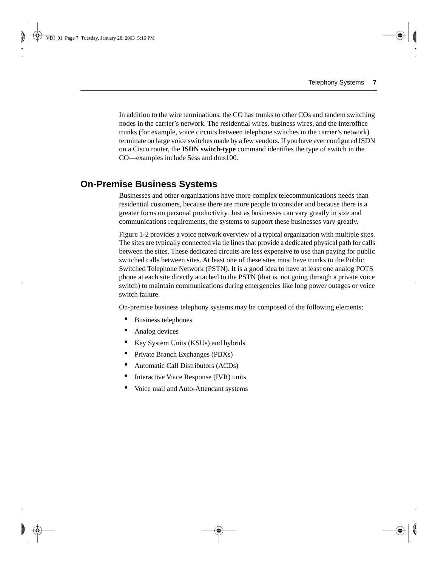In addition to the wire terminations, the CO has trunks to other COs and tandem switching nodes in the carrier's network. The residential wires, business wires, and the interoffice trunks (for example, voice circuits between telephone switches in the carrier's network) terminate on large voice switches made by a few vendors. If you have ever configured ISDN on a Cisco router, the **ISDN switch-type** command identifies the type of switch in the CO—examples include 5ess and dms100.

# **On-Premise Business Systems**

Businesses and other organizations have more complex telecommunications needs than residential customers, because there are more people to consider and because there is a greater focus on personal productivity. Just as businesses can vary greatly in size and communications requirements, the systems to support these businesses vary greatly.

Figure 1-2 provides a voice network overview of a typical organization with multiple sites. The sites are typically connected via tie lines that provide a dedicated physical path for calls between the sites. These dedicated circuits are less expensive to use than paying for public switched calls between sites. At least one of these sites must have trunks to the Public Switched Telephone Network (PSTN). It is a good idea to have at least one analog POTS phone at each site directly attached to the PSTN (that is, not going through a private voice switch) to maintain communications during emergencies like long power outages or voice switch failure.

On-premise business telephony systems may be composed of the following elements:

- Business telephones
- Analog devices
- Key System Units (KSUs) and hybrids
- Private Branch Exchanges (PBXs)
- Automatic Call Distributors (ACDs)
- Interactive Voice Response (IVR) units
- Voice mail and Auto-Attendant systems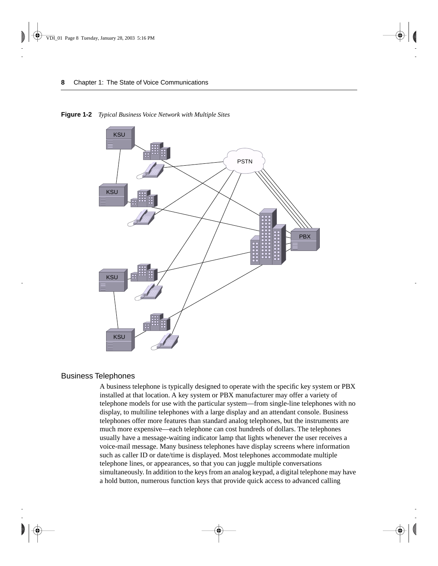**Figure 1-2** *Typical Business Voice Network with Multiple Sites*



#### Business Telephones

A business telephone is typically designed to operate with the specific key system or PBX installed at that location. A key system or PBX manufacturer may offer a variety of telephone models for use with the particular system—from single-line telephones with no display, to multiline telephones with a large display and an attendant console. Business telephones offer more features than standard analog telephones, but the instruments are much more expensive—each telephone can cost hundreds of dollars. The telephones usually have a message-waiting indicator lamp that lights whenever the user receives a voice-mail message. Many business telephones have display screens where information such as caller ID or date/time is displayed. Most telephones accommodate multiple telephone lines, or appearances, so that you can juggle multiple conversations simultaneously. In addition to the keys from an analog keypad, a digital telephone may have a hold button, numerous function keys that provide quick access to advanced calling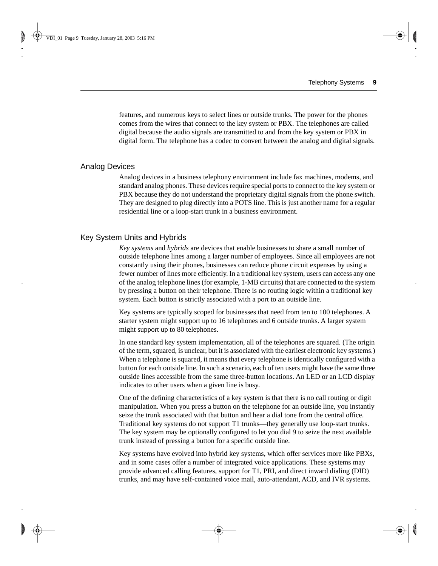features, and numerous keys to select lines or outside trunks. The power for the phones comes from the wires that connect to the key system or PBX. The telephones are called digital because the audio signals are transmitted to and from the key system or PBX in digital form. The telephone has a codec to convert between the analog and digital signals.

#### Analog Devices

Analog devices in a business telephony environment include fax machines, modems, and standard analog phones. These devices require special ports to connect to the key system or PBX because they do not understand the proprietary digital signals from the phone switch. They are designed to plug directly into a POTS line. This is just another name for a regular residential line or a loop-start trunk in a business environment.

#### Key System Units and Hybrids

*Key systems* and *hybrids* are devices that enable businesses to share a small number of outside telephone lines among a larger number of employees. Since all employees are not constantly using their phones, businesses can reduce phone circuit expenses by using a fewer number of lines more efficiently. In a traditional key system, users can access any one of the analog telephone lines (for example, 1-MB circuits) that are connected to the system by pressing a button on their telephone. There is no routing logic within a traditional key system. Each button is strictly associated with a port to an outside line.

Key systems are typically scoped for businesses that need from ten to 100 telephones. A starter system might support up to 16 telephones and 6 outside trunks. A larger system might support up to 80 telephones.

In one standard key system implementation, all of the telephones are squared. (The origin of the term, squared, is unclear, but it is associated with the earliest electronic key systems.) When a telephone is squared, it means that every telephone is identically configured with a button for each outside line. In such a scenario, each of ten users might have the same three outside lines accessible from the same three-button locations. An LED or an LCD display indicates to other users when a given line is busy.

One of the defining characteristics of a key system is that there is no call routing or digit manipulation. When you press a button on the telephone for an outside line, you instantly seize the trunk associated with that button and hear a dial tone from the central office. Traditional key systems do not support T1 trunks—they generally use loop-start trunks. The key system may be optionally configured to let you dial 9 to seize the next available trunk instead of pressing a button for a specific outside line.

Key systems have evolved into hybrid key systems, which offer services more like PBXs, and in some cases offer a number of integrated voice applications. These systems may provide advanced calling features, support for T1, PRI, and direct inward dialing (DID) trunks, and may have self-contained voice mail, auto-attendant, ACD, and IVR systems.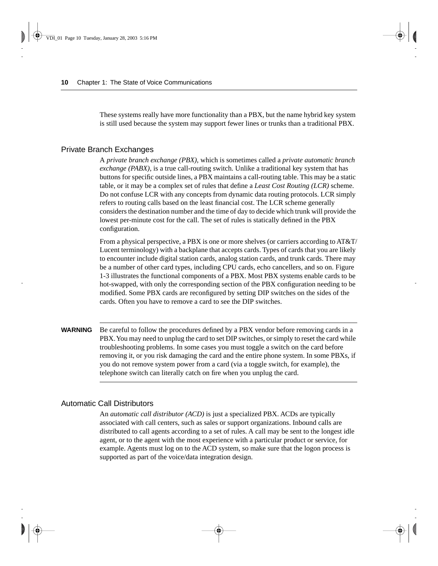These systems really have more functionality than a PBX, but the name hybrid key system is still used because the system may support fewer lines or trunks than a traditional PBX.

#### Private Branch Exchanges

A *private branch exchange (PBX)*, which is sometimes called a *private automatic branch exchange (PABX)*, is a true call-routing switch. Unlike a traditional key system that has buttons for specific outside lines, a PBX maintains a call-routing table. This may be a static table, or it may be a complex set of rules that define a *Least Cost Routing (LCR)* scheme. Do not confuse LCR with any concepts from dynamic data routing protocols. LCR simply refers to routing calls based on the least financial cost. The LCR scheme generally considers the destination number and the time of day to decide which trunk will provide the lowest per-minute cost for the call. The set of rules is statically defined in the PBX configuration.

From a physical perspective, a PBX is one or more shelves (or carriers according to AT&T/ Lucent terminology) with a backplane that accepts cards. Types of cards that you are likely to encounter include digital station cards, analog station cards, and trunk cards. There may be a number of other card types, including CPU cards, echo cancellers, and so on. Figure 1-3 illustrates the functional components of a PBX. Most PBX systems enable cards to be hot-swapped, with only the corresponding section of the PBX configuration needing to be modified. Some PBX cards are reconfigured by setting DIP switches on the sides of the cards. Often you have to remove a card to see the DIP switches.

**WARNING** Be careful to follow the procedures defined by a PBX vendor before removing cards in a PBX. You may need to unplug the card to set DIP switches, or simply to reset the card while troubleshooting problems. In some cases you must toggle a switch on the card before removing it, or you risk damaging the card and the entire phone system. In some PBXs, if you do not remove system power from a card (via a toggle switch, for example), the telephone switch can literally catch on fire when you unplug the card.

#### Automatic Call Distributors

An *automatic call distributor (ACD)* is just a specialized PBX. ACDs are typically associated with call centers, such as sales or support organizations. Inbound calls are distributed to call agents according to a set of rules. A call may be sent to the longest idle agent, or to the agent with the most experience with a particular product or service, for example. Agents must log on to the ACD system, so make sure that the logon process is supported as part of the voice/data integration design.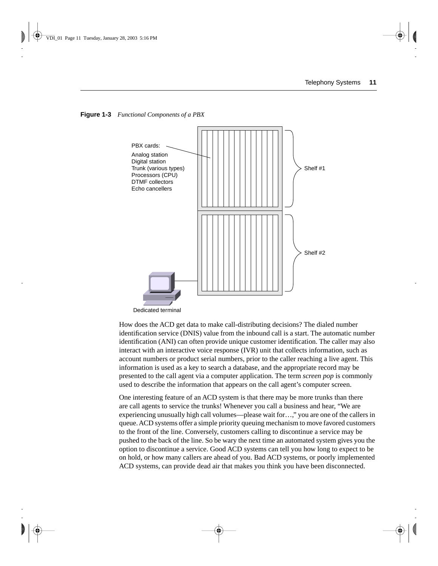**Figure 1-3** *Functional Components of a PBX*



Dedicated terminal

How does the ACD get data to make call-distributing decisions? The dialed number identification service (DNIS) value from the inbound call is a start. The automatic number identification (ANI) can often provide unique customer identification. The caller may also interact with an interactive voice response (IVR) unit that collects information, such as account numbers or product serial numbers, prior to the caller reaching a live agent. This information is used as a key to search a database, and the appropriate record may be presented to the call agent via a computer application. The term *screen pop* is commonly used to describe the information that appears on the call agent's computer screen.

One interesting feature of an ACD system is that there may be more trunks than there are call agents to service the trunks! Whenever you call a business and hear, "We are experiencing unusually high call volumes—please wait for…," you are one of the callers in queue. ACD systems offer a simple priority queuing mechanism to move favored customers to the front of the line. Conversely, customers calling to discontinue a service may be pushed to the back of the line. So be wary the next time an automated system gives you the option to discontinue a service. Good ACD systems can tell you how long to expect to be on hold, or how many callers are ahead of you. Bad ACD systems, or poorly implemented ACD systems, can provide dead air that makes you think you have been disconnected.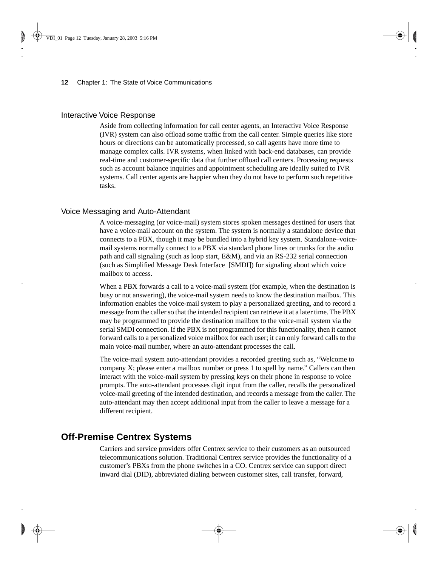#### Interactive Voice Response

Aside from collecting information for call center agents, an Interactive Voice Response (IVR) system can also offload some traffic from the call center. Simple queries like store hours or directions can be automatically processed, so call agents have more time to manage complex calls. IVR systems, when linked with back-end databases, can provide real-time and customer-specific data that further offload call centers. Processing requests such as account balance inquiries and appointment scheduling are ideally suited to IVR systems. Call center agents are happier when they do not have to perform such repetitive tasks.

#### Voice Messaging and Auto-Attendant

A voice-messaging (or voice-mail) system stores spoken messages destined for users that have a voice-mail account on the system. The system is normally a standalone device that connects to a PBX, though it may be bundled into a hybrid key system. Standalone–voicemail systems normally connect to a PBX via standard phone lines or trunks for the audio path and call signaling (such as loop start, E&M), and via an RS-232 serial connection (such as Simplified Message Desk Interface [SMDI]) for signaling about which voice mailbox to access.

When a PBX forwards a call to a voice-mail system (for example, when the destination is busy or not answering), the voice-mail system needs to know the destination mailbox. This information enables the voice-mail system to play a personalized greeting, and to record a message from the caller so that the intended recipient can retrieve it at a later time. The PBX may be programmed to provide the destination mailbox to the voice-mail system via the serial SMDI connection. If the PBX is not programmed for this functionality, then it cannot forward calls to a personalized voice mailbox for each user; it can only forward calls to the main voice-mail number, where an auto-attendant processes the call.

The voice-mail system auto-attendant provides a recorded greeting such as, "Welcome to company X; please enter a mailbox number or press 1 to spell by name." Callers can then interact with the voice-mail system by pressing keys on their phone in response to voice prompts. The auto-attendant processes digit input from the caller, recalls the personalized voice-mail greeting of the intended destination, and records a message from the caller. The auto-attendant may then accept additional input from the caller to leave a message for a different recipient.

### **Off-Premise Centrex Systems**

Carriers and service providers offer Centrex service to their customers as an outsourced telecommunications solution. Traditional Centrex service provides the functionality of a customer's PBXs from the phone switches in a CO. Centrex service can support direct inward dial (DID), abbreviated dialing between customer sites, call transfer, forward,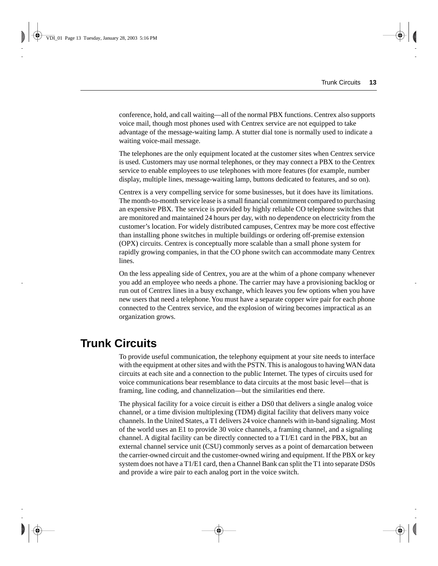conference, hold, and call waiting—all of the normal PBX functions. Centrex also supports voice mail, though most phones used with Centrex service are not equipped to take advantage of the message-waiting lamp. A stutter dial tone is normally used to indicate a waiting voice-mail message.

The telephones are the only equipment located at the customer sites when Centrex service is used. Customers may use normal telephones, or they may connect a PBX to the Centrex service to enable employees to use telephones with more features (for example, number display, multiple lines, message-waiting lamp, buttons dedicated to features, and so on).

Centrex is a very compelling service for some businesses, but it does have its limitations. The month-to-month service lease is a small financial commitment compared to purchasing an expensive PBX. The service is provided by highly reliable CO telephone switches that are monitored and maintained 24 hours per day, with no dependence on electricity from the customer's location. For widely distributed campuses, Centrex may be more cost effective than installing phone switches in multiple buildings or ordering off-premise extension (OPX) circuits. Centrex is conceptually more scalable than a small phone system for rapidly growing companies, in that the CO phone switch can accommodate many Centrex lines.

On the less appealing side of Centrex, you are at the whim of a phone company whenever you add an employee who needs a phone. The carrier may have a provisioning backlog or run out of Centrex lines in a busy exchange, which leaves you few options when you have new users that need a telephone. You must have a separate copper wire pair for each phone connected to the Centrex service, and the explosion of wiring becomes impractical as an organization grows.

# **Trunk Circuits**

To provide useful communication, the telephony equipment at your site needs to interface with the equipment at other sites and with the PSTN. This is analogous to having WAN data circuits at each site and a connection to the public Internet. The types of circuits used for voice communications bear resemblance to data circuits at the most basic level—that is framing, line coding, and channelization—but the similarities end there.

The physical facility for a voice circuit is either a DS0 that delivers a single analog voice channel, or a time division multiplexing (TDM) digital facility that delivers many voice channels. In the United States, a T1 delivers 24 voice channels with in-band signaling. Most of the world uses an E1 to provide 30 voice channels, a framing channel, and a signaling channel. A digital facility can be directly connected to a T1/E1 card in the PBX, but an external channel service unit (CSU) commonly serves as a point of demarcation between the carrier-owned circuit and the customer-owned wiring and equipment. If the PBX or key system does not have a T1/E1 card, then a Channel Bank can split the T1 into separate DS0s and provide a wire pair to each analog port in the voice switch.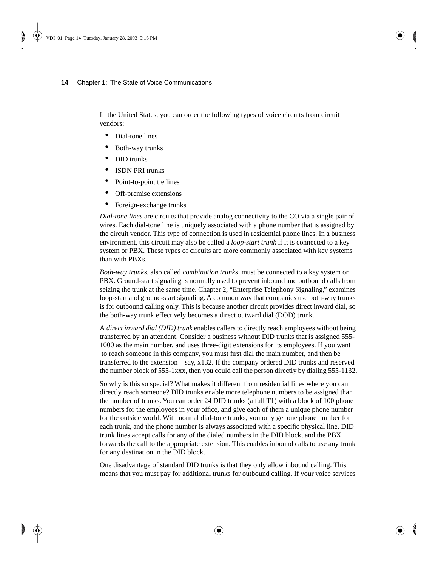In the United States, you can order the following types of voice circuits from circuit vendors:

- Dial-tone lines
- Both-way trunks
- DID trunks
- ISDN PRI trunks
- Point-to-point tie lines
- Off-premise extensions
- Foreign-exchange trunks

*Dial-tone lines* are circuits that provide analog connectivity to the CO via a single pair of wires. Each dial-tone line is uniquely associated with a phone number that is assigned by the circuit vendor. This type of connection is used in residential phone lines. In a business environment, this circuit may also be called a *loop-start trunk* if it is connected to a key system or PBX. These types of circuits are more commonly associated with key systems than with PBXs.

*Both-way trunks*, also called *combination trunks*, must be connected to a key system or PBX. Ground-start signaling is normally used to prevent inbound and outbound calls from seizing the trunk at the same time. Chapter 2, "Enterprise Telephony Signaling," examines loop-start and ground-start signaling. A common way that companies use both-way trunks is for outbound calling only. This is because another circuit provides direct inward dial, so the both-way trunk effectively becomes a direct outward dial (DOD) trunk.

A *direct inward dial (DID) trunk* enables callers to directly reach employees without being transferred by an attendant. Consider a business without DID trunks that is assigned 555- 1000 as the main number, and uses three-digit extensions for its employees. If you want to reach someone in this company, you must first dial the main number, and then be transferred to the extension—say, x132. If the company ordered DID trunks and reserved the number block of 555-1xxx, then you could call the person directly by dialing 555-1132.

So why is this so special? What makes it different from residential lines where you can directly reach someone? DID trunks enable more telephone numbers to be assigned than the number of trunks. You can order 24 DID trunks (a full T1) with a block of 100 phone numbers for the employees in your office, and give each of them a unique phone number for the outside world. With normal dial-tone trunks, you only get one phone number for each trunk, and the phone number is always associated with a specific physical line. DID trunk lines accept calls for any of the dialed numbers in the DID block, and the PBX forwards the call to the appropriate extension. This enables inbound calls to use any trunk for any destination in the DID block.

One disadvantage of standard DID trunks is that they only allow inbound calling. This means that you must pay for additional trunks for outbound calling. If your voice services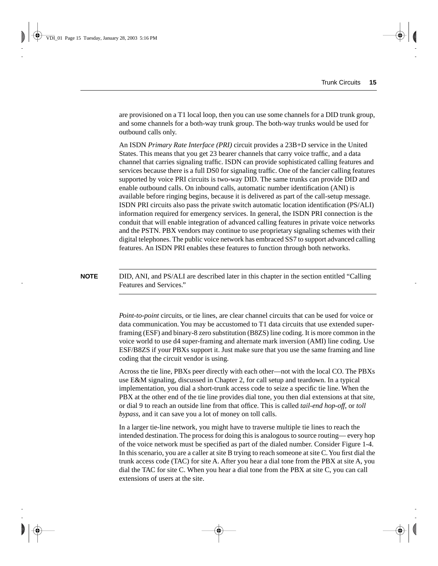are provisioned on a T1 local loop, then you can use some channels for a DID trunk group, and some channels for a both-way trunk group. The both-way trunks would be used for outbound calls only.

An ISDN *Primary Rate Interface (PRI)* circuit provides a 23B+D service in the United States. This means that you get 23 bearer channels that carry voice traffic, and a data channel that carries signaling traffic. ISDN can provide sophisticated calling features and services because there is a full DS0 for signaling traffic. One of the fancier calling features supported by voice PRI circuits is two-way DID. The same trunks can provide DID and enable outbound calls. On inbound calls, automatic number identification (ANI) is available before ringing begins, because it is delivered as part of the call-setup message. ISDN PRI circuits also pass the private switch automatic location identification (PS/ALI) information required for emergency services. In general, the ISDN PRI connection is the conduit that will enable integration of advanced calling features in private voice networks and the PSTN. PBX vendors may continue to use proprietary signaling schemes with their digital telephones. The public voice network has embraced SS7 to support advanced calling features. An ISDN PRI enables these features to function through both networks.

**NOTE** DID, ANI, and PS/ALI are described later in this chapter in the section entitled "Calling Features and Services."

> *Point-to-point* circuits, or tie lines, are clear channel circuits that can be used for voice or data communication. You may be accustomed to T1 data circuits that use extended superframing (ESF) and binary-8 zero substitution (B8ZS) line coding. It is more common in the voice world to use d4 super-framing and alternate mark inversion (AMI) line coding. Use ESF/B8ZS if your PBXs support it. Just make sure that you use the same framing and line coding that the circuit vendor is using.

> Across the tie line, PBXs peer directly with each other—not with the local CO. The PBXs use E&M signaling, discussed in Chapter 2, for call setup and teardown. In a typical implementation, you dial a short-trunk access code to seize a specific tie line. When the PBX at the other end of the tie line provides dial tone, you then dial extensions at that site, or dial 9 to reach an outside line from that office. This is called *tail-end hop-off*, or *toll bypass*, and it can save you a lot of money on toll calls.

> In a larger tie-line network, you might have to traverse multiple tie lines to reach the intended destination. The process for doing this is analogous to source routing— every hop of the voice network must be specified as part of the dialed number. Consider Figure 1-4. In this scenario, you are a caller at site B trying to reach someone at site C. You first dial the trunk access code (TAC) for site A. After you hear a dial tone from the PBX at site A, you dial the TAC for site C. When you hear a dial tone from the PBX at site C, you can call extensions of users at the site.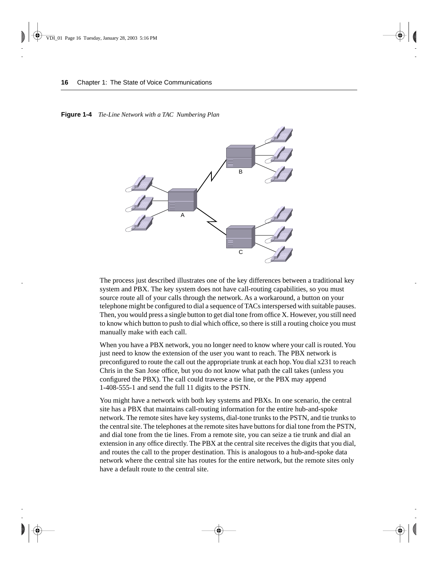**Figure 1-4** *Tie-Line Network with a TAC Numbering Plan*



The process just described illustrates one of the key differences between a traditional key system and PBX. The key system does not have call-routing capabilities, so you must source route all of your calls through the network. As a workaround, a button on your telephone might be configured to dial a sequence of TACs interspersed with suitable pauses. Then, you would press a single button to get dial tone from office X. However, you still need to know which button to push to dial which office, so there is still a routing choice you must manually make with each call.

When you have a PBX network, you no longer need to know where your call is routed. You just need to know the extension of the user you want to reach. The PBX network is preconfigured to route the call out the appropriate trunk at each hop. You dial x231 to reach Chris in the San Jose office, but you do not know what path the call takes (unless you configured the PBX). The call could traverse a tie line, or the PBX may append 1-408-555-1 and send the full 11 digits to the PSTN.

You might have a network with both key systems and PBXs. In one scenario, the central site has a PBX that maintains call-routing information for the entire hub-and-spoke network. The remote sites have key systems, dial-tone trunks to the PSTN, and tie trunks to the central site. The telephones at the remote sites have buttons for dial tone from the PSTN, and dial tone from the tie lines. From a remote site, you can seize a tie trunk and dial an extension in any office directly. The PBX at the central site receives the digits that you dial, and routes the call to the proper destination. This is analogous to a hub-and-spoke data network where the central site has routes for the entire network, but the remote sites only have a default route to the central site.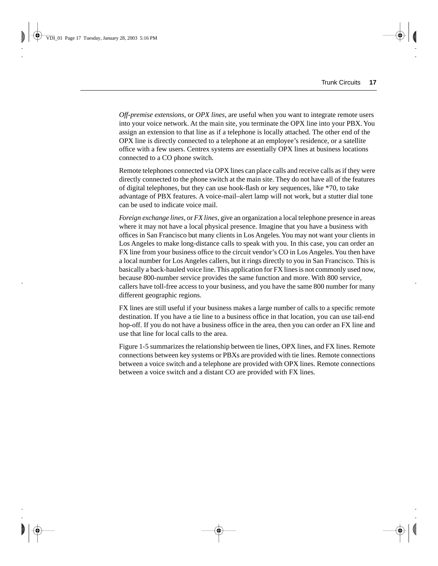*Off-premise extensions*, or *OPX lines*, are useful when you want to integrate remote users into your voice network. At the main site, you terminate the OPX line into your PBX. You assign an extension to that line as if a telephone is locally attached. The other end of the OPX line is directly connected to a telephone at an employee's residence, or a satellite office with a few users. Centrex systems are essentially OPX lines at business locations connected to a CO phone switch.

Remote telephones connected via OPX lines can place calls and receive calls as if they were directly connected to the phone switch at the main site. They do not have all of the features of digital telephones, but they can use hook-flash or key sequences, like \*70, to take advantage of PBX features. A voice-mail–alert lamp will not work, but a stutter dial tone can be used to indicate voice mail.

*Foreign exchange lines*, or *FX lines*, give an organization a local telephone presence in areas where it may not have a local physical presence. Imagine that you have a business with offices in San Francisco but many clients in Los Angeles. You may not want your clients in Los Angeles to make long-distance calls to speak with you. In this case, you can order an FX line from your business office to the circuit vendor's CO in Los Angeles. You then have a local number for Los Angeles callers, but it rings directly to you in San Francisco. This is basically a back-hauled voice line. This application for FX lines is not commonly used now, because 800-number service provides the same function and more. With 800 service, callers have toll-free access to your business, and you have the same 800 number for many different geographic regions.

FX lines are still useful if your business makes a large number of calls to a specific remote destination. If you have a tie line to a business office in that location, you can use tail-end hop-off. If you do not have a business office in the area, then you can order an FX line and use that line for local calls to the area.

Figure 1-5 summarizes the relationship between tie lines, OPX lines, and FX lines. Remote connections between key systems or PBXs are provided with tie lines. Remote connections between a voice switch and a telephone are provided with OPX lines. Remote connections between a voice switch and a distant CO are provided with FX lines.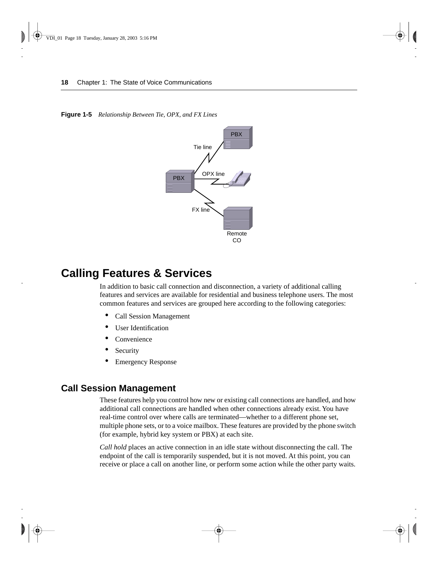**Figure 1-5** *Relationship Between Tie, OPX, and FX Lines*



# **Calling Features & Services**

In addition to basic call connection and disconnection, a variety of additional calling features and services are available for residential and business telephone users. The most common features and services are grouped here according to the following categories:

- Call Session Management
- User Identification
- **Convenience**
- **Security**
- Emergency Response

## **Call Session Management**

These features help you control how new or existing call connections are handled, and how additional call connections are handled when other connections already exist. You have real-time control over where calls are terminated—whether to a different phone set, multiple phone sets, or to a voice mailbox. These features are provided by the phone switch (for example, hybrid key system or PBX) at each site.

*Call hold* places an active connection in an idle state without disconnecting the call. The endpoint of the call is temporarily suspended, but it is not moved. At this point, you can receive or place a call on another line, or perform some action while the other party waits.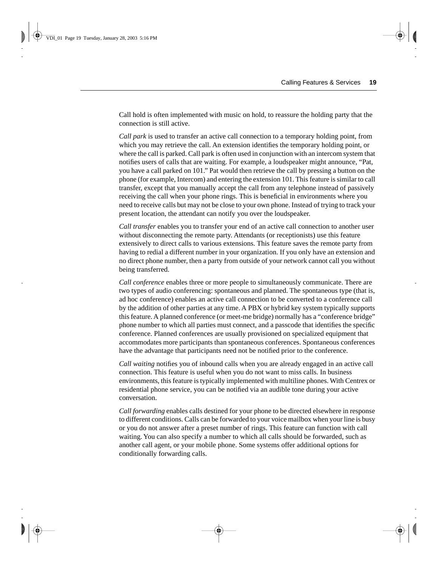Call hold is often implemented with music on hold, to reassure the holding party that the connection is still active.

*Call park* is used to transfer an active call connection to a temporary holding point, from which you may retrieve the call. An extension identifies the temporary holding point, or where the call is parked. Call park is often used in conjunction with an intercom system that notifies users of calls that are waiting. For example, a loudspeaker might announce, "Pat, you have a call parked on 101." Pat would then retrieve the call by pressing a button on the phone (for example, Intercom) and entering the extension 101. This feature is similar to call transfer, except that you manually accept the call from any telephone instead of passively receiving the call when your phone rings. This is beneficial in environments where you need to receive calls but may not be close to your own phone. Instead of trying to track your present location, the attendant can notify you over the loudspeaker.

*Call transfer* enables you to transfer your end of an active call connection to another user without disconnecting the remote party. Attendants (or receptionists) use this feature extensively to direct calls to various extensions. This feature saves the remote party from having to redial a different number in your organization. If you only have an extension and no direct phone number, then a party from outside of your network cannot call you without being transferred.

*Call conference* enables three or more people to simultaneously communicate. There are two types of audio conferencing: spontaneous and planned. The spontaneous type (that is, ad hoc conference) enables an active call connection to be converted to a conference call by the addition of other parties at any time. A PBX or hybrid key system typically supports this feature. A planned conference (or meet-me bridge) normally has a "conference bridge" phone number to which all parties must connect, and a passcode that identifies the specific conference. Planned conferences are usually provisioned on specialized equipment that accommodates more participants than spontaneous conferences. Spontaneous conferences have the advantage that participants need not be notified prior to the conference.

*Call waiting* notifies you of inbound calls when you are already engaged in an active call connection. This feature is useful when you do not want to miss calls. In business environments, this feature is typically implemented with multiline phones. With Centrex or residential phone service, you can be notified via an audible tone during your active conversation.

*Call forwarding* enables calls destined for your phone to be directed elsewhere in response to different conditions. Calls can be forwarded to your voice mailbox when your line is busy or you do not answer after a preset number of rings. This feature can function with call waiting. You can also specify a number to which all calls should be forwarded, such as another call agent, or your mobile phone. Some systems offer additional options for conditionally forwarding calls.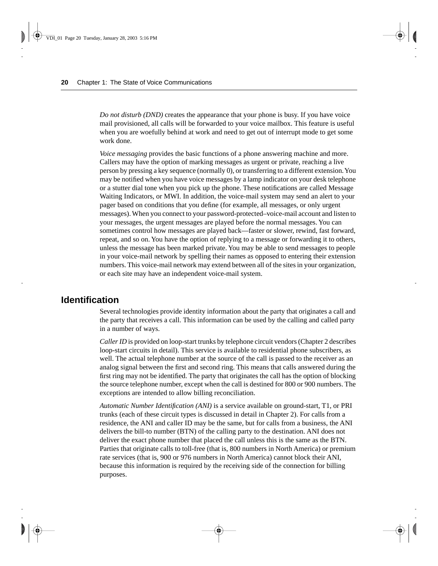*Do not disturb (DND)* creates the appearance that your phone is busy. If you have voice mail provisioned, all calls will be forwarded to your voice mailbox. This feature is useful when you are woefully behind at work and need to get out of interrupt mode to get some work done.

*Voice messaging* provides the basic functions of a phone answering machine and more. Callers may have the option of marking messages as urgent or private, reaching a live person by pressing a key sequence (normally 0), or transferring to a different extension. You may be notified when you have voice messages by a lamp indicator on your desk telephone or a stutter dial tone when you pick up the phone. These notifications are called Message Waiting Indicators, or MWI. In addition, the voice-mail system may send an alert to your pager based on conditions that you define (for example, all messages, or only urgent messages). When you connect to your password-protected–voice-mail account and listen to your messages, the urgent messages are played before the normal messages. You can sometimes control how messages are played back—faster or slower, rewind, fast forward, repeat, and so on. You have the option of replying to a message or forwarding it to others, unless the message has been marked private. You may be able to send messages to people in your voice-mail network by spelling their names as opposed to entering their extension numbers. This voice-mail network may extend between all of the sites in your organization, or each site may have an independent voice-mail system.

### **Identification**

Several technologies provide identity information about the party that originates a call and the party that receives a call. This information can be used by the calling and called party in a number of ways.

*Caller ID* is provided on loop-start trunks by telephone circuit vendors (Chapter 2 describes loop-start circuits in detail). This service is available to residential phone subscribers, as well. The actual telephone number at the source of the call is passed to the receiver as an analog signal between the first and second ring. This means that calls answered during the first ring may not be identified. The party that originates the call has the option of blocking the source telephone number, except when the call is destined for 800 or 900 numbers. The exceptions are intended to allow billing reconciliation.

*Automatic Number Identification (ANI)* is a service available on ground-start, T1, or PRI trunks (each of these circuit types is discussed in detail in Chapter 2). For calls from a residence, the ANI and caller ID may be the same, but for calls from a business, the ANI delivers the bill-to number (BTN) of the calling party to the destination. ANI does not deliver the exact phone number that placed the call unless this is the same as the BTN. Parties that originate calls to toll-free (that is, 800 numbers in North America) or premium rate services (that is, 900 or 976 numbers in North America) cannot block their ANI, because this information is required by the receiving side of the connection for billing purposes.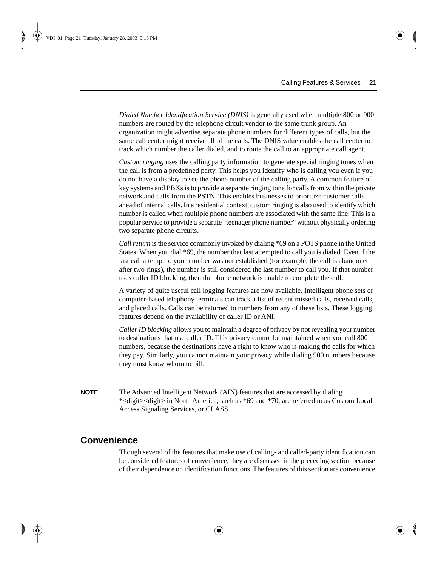*Dialed Number Identification Service (DNIS)* is generally used when multiple 800 or 900 numbers are routed by the telephone circuit vendor to the same trunk group. An organization might advertise separate phone numbers for different types of calls, but the same call center might receive all of the calls. The DNIS value enables the call center to track which number the caller dialed, and to route the call to an appropriate call agent.

*Custom ringing* uses the calling party information to generate special ringing tones when the call is from a predefined party. This helps you identify who is calling you even if you do not have a display to see the phone number of the calling party. A common feature of key systems and PBXs is to provide a separate ringing tone for calls from within the private network and calls from the PSTN. This enables businesses to prioritize customer calls ahead of internal calls. In a residential context, custom ringing is also used to identify which number is called when multiple phone numbers are associated with the same line. This is a popular service to provide a separate "teenager phone number" without physically ordering two separate phone circuits.

*Call return* is the service commonly invoked by dialing \*69 on a POTS phone in the United States. When you dial \*69, the number that last attempted to call you is dialed. Even if the last call attempt to your number was not established (for example, the call is abandoned after two rings), the number is still considered the last number to call you. If that number uses caller ID blocking, then the phone network is unable to complete the call.

A variety of quite useful call logging features are now available. Intelligent phone sets or computer-based telephony terminals can track a list of recent missed calls, received calls, and placed calls. Calls can be returned to numbers from any of these lists. These logging features depend on the availability of caller ID or ANI.

*Caller ID blocking* allows you to maintain a degree of privacy by not revealing your number to destinations that use caller ID. This privacy cannot be maintained when you call 800 numbers, because the destinations have a right to know who is making the calls for which they pay. Similarly, you cannot maintain your privacy while dialing 900 numbers because they must know whom to bill.

**NOTE** The Advanced Intelligent Network (AIN) features that are accessed by dialing \*<digit><digit> in North America, such as \*69 and \*70, are referred to as Custom Local Access Signaling Services, or CLASS.

### **Convenience**

Though several of the features that make use of calling- and called-party identification can be considered features of convenience, they are discussed in the preceding section because of their dependence on identification functions. The features of this section are convenience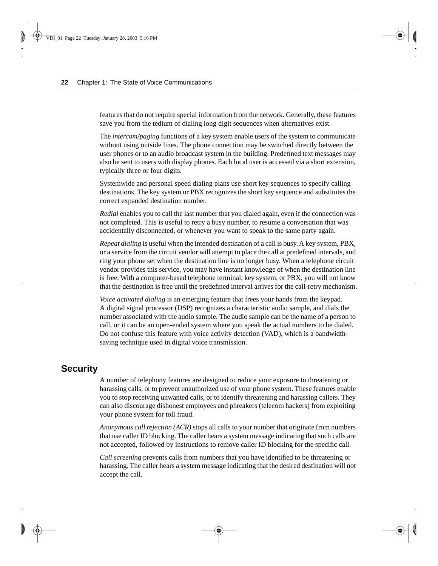features that do not require special information from the network. Generally, these features save you from the tedium of dialing long digit sequences when alternatives exist.

The *intercom/paging* functions of a key system enable users of the system to communicate without using outside lines. The phone connection may be switched directly between the user phones or to an audio broadcast system in the building. Predefined text messages may also be sent to users with display phones. Each local user is accessed via a short extension, typically three or four digits.

Systemwide and personal speed dialing plans use short key sequences to specify calling destinations. The key system or PBX recognizes the short key sequence and substitutes the correct expanded destination number.

*Redial* enables you to call the last number that you dialed again, even if the connection was not completed. This is useful to retry a busy number, to resume a conversation that was accidentally disconnected, or whenever you want to speak to the same party again.

*Repeat dialing* is useful when the intended destination of a call is busy. A key system, PBX, or a service from the circuit vendor will attempt to place the call at predefined intervals, and ring your phone set when the destination line is no longer busy. When a telephone circuit vendor provides this service, you may have instant knowledge of when the destination line is free. With a computer-based telephone terminal, key system, or PBX, you will not know that the destination is free until the predefined interval arrives for the call-retry mechanism.

*Voice activated dialing* is an emerging feature that frees your hands from the keypad. A digital signal processor (DSP) recognizes a characteristic audio sample, and dials the number associated with the audio sample. The audio sample can be the name of a person to call, or it can be an open-ended system where you speak the actual numbers to be dialed. Do not confuse this feature with voice activity detection (VAD), which is a bandwidthsaving technique used in digital voice transmission.

# **Security**

A number of telephony features are designed to reduce your exposure to threatening or harassing calls, or to prevent unauthorized use of your phone system. These features enable you to stop receiving unwanted calls, or to identify threatening and harassing callers. They can also discourage dishonest employees and phreakers (telecom hackers) from exploiting your phone system for toll fraud.

*Anonymous call rejection (ACR)* stops all calls to your number that originate from numbers that use caller ID blocking. The caller hears a system message indicating that such calls are not accepted, followed by instructions to remove caller ID blocking for the specific call.

*Call screening* prevents calls from numbers that you have identified to be threatening or harassing. The caller hears a system message indicating that the desired destination will not accept the call.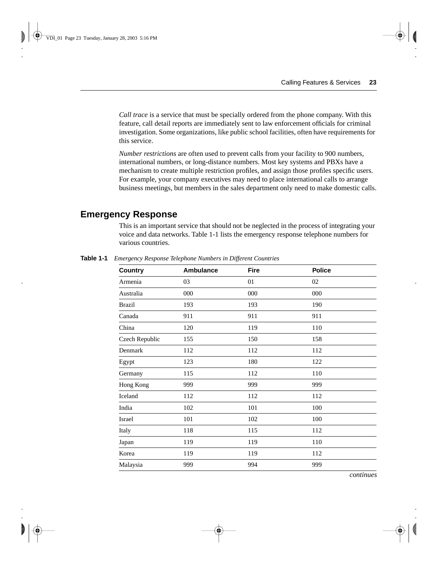*Call trace* is a service that must be specially ordered from the phone company. With this feature, call detail reports are immediately sent to law enforcement officials for criminal investigation. Some organizations, like public school facilities, often have requirements for this service.

*Number restrictions* are often used to prevent calls from your facility to 900 numbers, international numbers, or long-distance numbers. Most key systems and PBXs have a mechanism to create multiple restriction profiles, and assign those profiles specific users. For example, your company executives may need to place international calls to arrange business meetings, but members in the sales department only need to make domestic calls.

## **Emergency Response**

This is an important service that should not be neglected in the process of integrating your voice and data networks. Table 1-1 lists the emergency response telephone numbers for various countries.

| <b>Country</b> | Ambulance | <b>Fire</b> | <b>Police</b> |  |
|----------------|-----------|-------------|---------------|--|
| Armenia        | 03        | 01          | 02            |  |
| Australia      | 000       | 000         | 000           |  |
| <b>Brazil</b>  | 193       | 193         | 190           |  |
| Canada         | 911       | 911         | 911           |  |
| China          | 120       | 119         | 110           |  |
| Czech Republic | 155       | 150         | 158           |  |
| Denmark        | 112       | 112         | 112           |  |
| Egypt          | 123       | 180         | 122           |  |
| Germany        | 115       | 112         | 110           |  |
| Hong Kong      | 999       | 999         | 999           |  |
| Iceland        | 112       | 112         | 112           |  |
| India          | 102       | 101         | 100           |  |
| Israel         | 101       | 102         | 100           |  |
| Italy          | 118       | 115         | 112           |  |
| Japan          | 119       | 119         | 110           |  |
| Korea          | 119       | 119         | 112           |  |
| Malaysia       | 999       | 994         | 999           |  |
|                |           |             |               |  |

**Table 1-1** *Emergency Response Telephone Numbers in Different Countries* 

*continues*